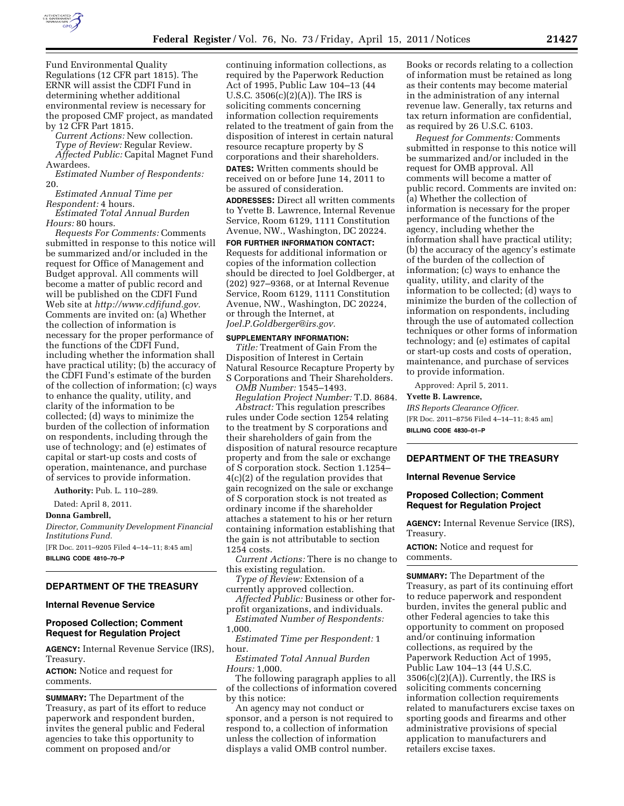

Fund Environmental Quality Regulations (12 CFR part 1815). The ERNR will assist the CDFI Fund in determining whether additional environmental review is necessary for the proposed CMF project, as mandated by 12 CFR Part 1815.

*Current Actions:* New collection.

*Type of Review:* Regular Review. *Affected Public:* Capital Magnet Fund Awardees.

*Estimated Number of Respondents:*  20.

*Estimated Annual Time per Respondent:* 4 hours.

*Estimated Total Annual Burden Hours:* 80 hours.

*Requests For Comments:* Comments submitted in response to this notice will be summarized and/or included in the request for Office of Management and Budget approval. All comments will become a matter of public record and will be published on the CDFI Fund Web site at *[http://www.cdfifund.gov.](http://www.cdfifund.gov)*  Comments are invited on: (a) Whether the collection of information is necessary for the proper performance of the functions of the CDFI Fund, including whether the information shall have practical utility; (b) the accuracy of the CDFI Fund's estimate of the burden of the collection of information; (c) ways to enhance the quality, utility, and clarity of the information to be collected; (d) ways to minimize the burden of the collection of information on respondents, including through the use of technology; and (e) estimates of capital or start-up costs and costs of operation, maintenance, and purchase of services to provide information.

**Authority:** Pub. L. 110–289.

Dated: April 8, 2011.

**Donna Gambrell,** 

*Director, Community Development Financial Institutions Fund.*  [FR Doc. 2011–9205 Filed 4–14–11; 8:45 am] **BILLING CODE 4810–70–P** 

## **DEPARTMENT OF THE TREASURY**

#### **Internal Revenue Service**

## **Proposed Collection; Comment Request for Regulation Project**

**AGENCY:** Internal Revenue Service (IRS), Treasury.

**ACTION:** Notice and request for comments.

**SUMMARY:** The Department of the Treasury, as part of its effort to reduce paperwork and respondent burden, invites the general public and Federal agencies to take this opportunity to comment on proposed and/or

continuing information collections, as required by the Paperwork Reduction Act of 1995, Public Law 104–13 (44 U.S.C. 3506(c)(2)(A)). The IRS is soliciting comments concerning information collection requirements related to the treatment of gain from the disposition of interest in certain natural resource recapture property by S corporations and their shareholders.

**DATES:** Written comments should be received on or before June 14, 2011 to be assured of consideration.

**ADDRESSES:** Direct all written comments to Yvette B. Lawrence, Internal Revenue Service, Room 6129, 1111 Constitution Avenue, NW., Washington, DC 20224.

**FOR FURTHER INFORMATION CONTACT:**  Requests for additional information or copies of the information collection should be directed to Joel Goldberger, at (202) 927–9368, or at Internal Revenue Service, Room 6129, 1111 Constitution Avenue, NW., Washington, DC 20224, or through the Internet, at *[Joel.P.Goldberger@irs.gov.](mailto:Joel.P.Goldberger@irs.gov)* 

#### **SUPPLEMENTARY INFORMATION:**

*Title:* Treatment of Gain From the Disposition of Interest in Certain Natural Resource Recapture Property by S Corporations and Their Shareholders.

*OMB Number:* 1545–1493.

*Regulation Project Number:* T.D. 8684. *Abstract:* This regulation prescribes rules under Code section 1254 relating to the treatment by S corporations and their shareholders of gain from the disposition of natural resource recapture property and from the sale or exchange of S corporation stock. Section 1.1254– 4(c)(2) of the regulation provides that gain recognized on the sale or exchange of S corporation stock is not treated as ordinary income if the shareholder attaches a statement to his or her return containing information establishing that the gain is not attributable to section 1254 costs.

*Current Actions:* There is no change to this existing regulation.

*Type of Review:* Extension of a currently approved collection.

*Affected Public:* Business or other forprofit organizations, and individuals.

*Estimated Number of Respondents:*  1,000.

*Estimated Time per Respondent:* 1 hour.

*Estimated Total Annual Burden Hours:* 1,000.

The following paragraph applies to all of the collections of information covered by this notice:

An agency may not conduct or sponsor, and a person is not required to respond to, a collection of information unless the collection of information displays a valid OMB control number.

Books or records relating to a collection of information must be retained as long as their contents may become material in the administration of any internal revenue law. Generally, tax returns and tax return information are confidential, as required by 26 U.S.C. 6103.

*Request for Comments:* Comments submitted in response to this notice will be summarized and/or included in the request for OMB approval. All comments will become a matter of public record. Comments are invited on: (a) Whether the collection of information is necessary for the proper performance of the functions of the agency, including whether the information shall have practical utility; (b) the accuracy of the agency's estimate of the burden of the collection of information; (c) ways to enhance the quality, utility, and clarity of the information to be collected; (d) ways to minimize the burden of the collection of information on respondents, including through the use of automated collection techniques or other forms of information technology; and (e) estimates of capital or start-up costs and costs of operation, maintenance, and purchase of services to provide information.

Approved: April 5, 2011.

**Yvette B. Lawrence,** 

*IRS Reports Clearance Officer.*  [FR Doc. 2011–8756 Filed 4–14–11; 8:45 am] **BILLING CODE 4830–01–P** 

## **DEPARTMENT OF THE TREASURY**

#### **Internal Revenue Service**

#### **Proposed Collection; Comment Request for Regulation Project**

**AGENCY:** Internal Revenue Service (IRS), Treasury.

**ACTION:** Notice and request for comments.

**SUMMARY:** The Department of the Treasury, as part of its continuing effort to reduce paperwork and respondent burden, invites the general public and other Federal agencies to take this opportunity to comment on proposed and/or continuing information collections, as required by the Paperwork Reduction Act of 1995, Public Law 104–13 (44 U.S.C.  $3506(c)(2)(A)$ . Currently, the IRS is soliciting comments concerning information collection requirements related to manufacturers excise taxes on sporting goods and firearms and other administrative provisions of special application to manufacturers and retailers excise taxes.